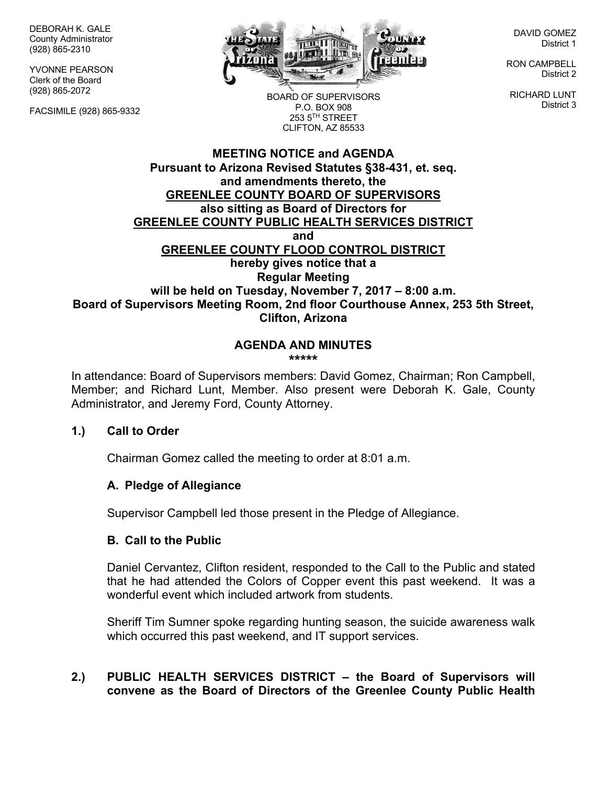DEBORAH K. GALE County Administrator (928) 865-2310

YVONNE PEARSON Clerk of the Board (928) 865-2072

FACSIMILE (928) 865-9332



BOARD OF SUPERVISORS P.O. BOX 908  $253.5$ <sup>TH</sup> STREET CLIFTON, AZ 85533

DAVID GOMEZ District 1

RON CAMPBELL District 2

RICHARD LUNT District 3

# **MEETING NOTICE and AGENDA Pursuant to Arizona Revised Statutes §38-431, et. seq. and amendments thereto, the GREENLEE COUNTY BOARD OF SUPERVISORS also sitting as Board of Directors for GREENLEE COUNTY PUBLIC HEALTH SERVICES DISTRICT and GREENLEE COUNTY FLOOD CONTROL DISTRICT hereby gives notice that a Regular Meeting will be held on Tuesday, November 7, 2017 – 8:00 a.m. Board of Supervisors Meeting Room, 2nd floor Courthouse Annex, 253 5th Street, Clifton, Arizona**

#### **AGENDA AND MINUTES \*\*\*\*\***

In attendance: Board of Supervisors members: David Gomez, Chairman; Ron Campbell, Member; and Richard Lunt, Member. Also present were Deborah K. Gale, County Administrator, and Jeremy Ford, County Attorney.

# **1.) Call to Order**

Chairman Gomez called the meeting to order at 8:01 a.m.

# **A. Pledge of Allegiance**

Supervisor Campbell led those present in the Pledge of Allegiance.

#### **B. Call to the Public**

Daniel Cervantez, Clifton resident, responded to the Call to the Public and stated that he had attended the Colors of Copper event this past weekend. It was a wonderful event which included artwork from students.

Sheriff Tim Sumner spoke regarding hunting season, the suicide awareness walk which occurred this past weekend, and IT support services.

# **2.) PUBLIC HEALTH SERVICES DISTRICT – the Board of Supervisors will convene as the Board of Directors of the Greenlee County Public Health**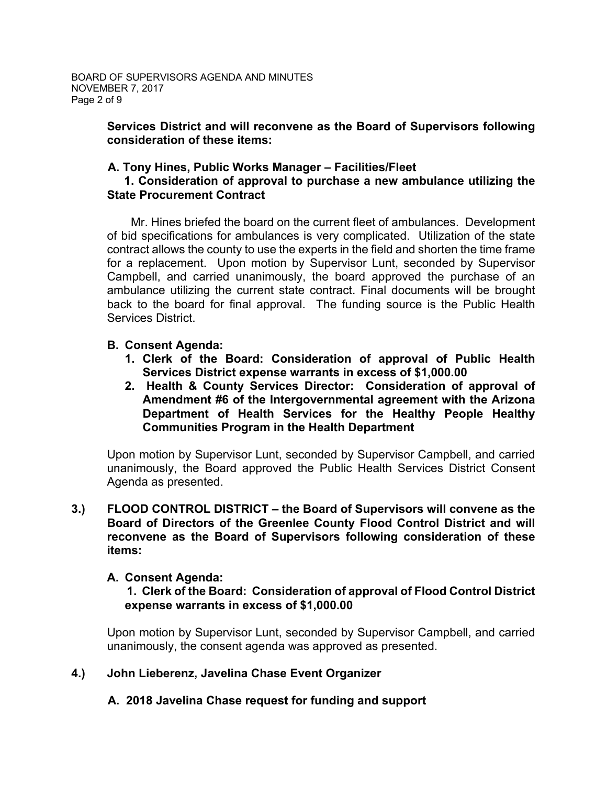# **Services District and will reconvene as the Board of Supervisors following consideration of these items:**

# **A. Tony Hines, Public Works Manager – Facilities/Fleet**

### **1. Consideration of approval to purchase a new ambulance utilizing the State Procurement Contract**

 Mr. Hines briefed the board on the current fleet of ambulances. Development of bid specifications for ambulances is very complicated. Utilization of the state contract allows the county to use the experts in the field and shorten the time frame for a replacement. Upon motion by Supervisor Lunt, seconded by Supervisor Campbell, and carried unanimously, the board approved the purchase of an ambulance utilizing the current state contract. Final documents will be brought back to the board for final approval. The funding source is the Public Health Services District.

# **B. Consent Agenda:**

- **1. Clerk of the Board: Consideration of approval of Public Health Services District expense warrants in excess of \$1,000.00**
- **2. Health & County Services Director: Consideration of approval of Amendment #6 of the Intergovernmental agreement with the Arizona Department of Health Services for the Healthy People Healthy Communities Program in the Health Department**

Upon motion by Supervisor Lunt, seconded by Supervisor Campbell, and carried unanimously, the Board approved the Public Health Services District Consent Agenda as presented.

**3.) FLOOD CONTROL DISTRICT – the Board of Supervisors will convene as the Board of Directors of the Greenlee County Flood Control District and will reconvene as the Board of Supervisors following consideration of these items:**

# **A. Consent Agenda:**

# **1. Clerk of the Board: Consideration of approval of Flood Control District expense warrants in excess of \$1,000.00**

Upon motion by Supervisor Lunt, seconded by Supervisor Campbell, and carried unanimously, the consent agenda was approved as presented.

# **4.) John Lieberenz, Javelina Chase Event Organizer**

# **A. 2018 Javelina Chase request for funding and support**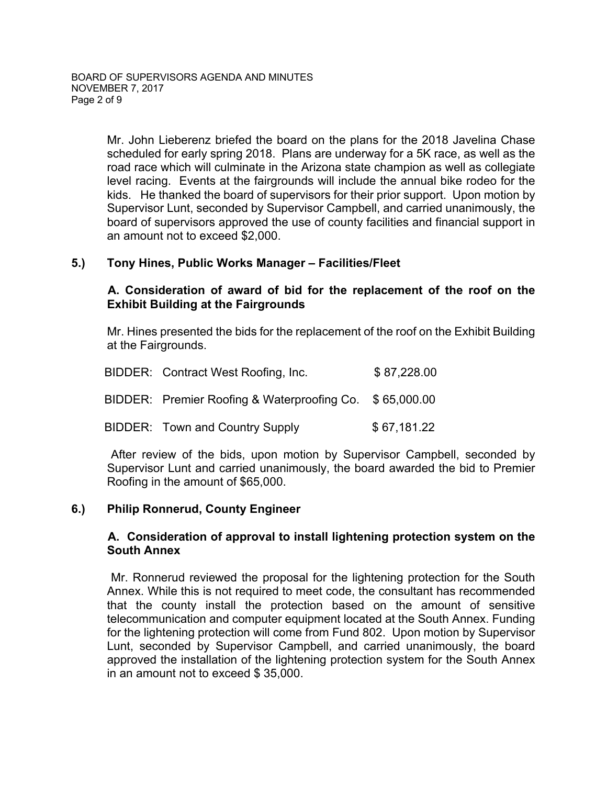Mr. John Lieberenz briefed the board on the plans for the 2018 Javelina Chase scheduled for early spring 2018. Plans are underway for a 5K race, as well as the road race which will culminate in the Arizona state champion as well as collegiate level racing. Events at the fairgrounds will include the annual bike rodeo for the kids. He thanked the board of supervisors for their prior support. Upon motion by Supervisor Lunt, seconded by Supervisor Campbell, and carried unanimously, the board of supervisors approved the use of county facilities and financial support in an amount not to exceed \$2,000.

### **5.) Tony Hines, Public Works Manager – Facilities/Fleet**

# **A. Consideration of award of bid for the replacement of the roof on the Exhibit Building at the Fairgrounds**

Mr. Hines presented the bids for the replacement of the roof on the Exhibit Building at the Fairgrounds.

|  | BIDDER: Contract West Roofing, Inc.                     | \$87,228.00 |
|--|---------------------------------------------------------|-------------|
|  | BIDDER: Premier Roofing & Waterproofing Co. \$65,000.00 |             |
|  | BIDDER: Town and Country Supply                         | \$67,181.22 |

 After review of the bids, upon motion by Supervisor Campbell, seconded by Supervisor Lunt and carried unanimously, the board awarded the bid to Premier Roofing in the amount of \$65,000.

# **6.) Philip Ronnerud, County Engineer**

### **A. Consideration of approval to install lightening protection system on the South Annex**

Mr. Ronnerud reviewed the proposal for the lightening protection for the South Annex. While this is not required to meet code, the consultant has recommended that the county install the protection based on the amount of sensitive telecommunication and computer equipment located at the South Annex. Funding for the lightening protection will come from Fund 802. Upon motion by Supervisor Lunt, seconded by Supervisor Campbell, and carried unanimously, the board approved the installation of the lightening protection system for the South Annex in an amount not to exceed \$ 35,000.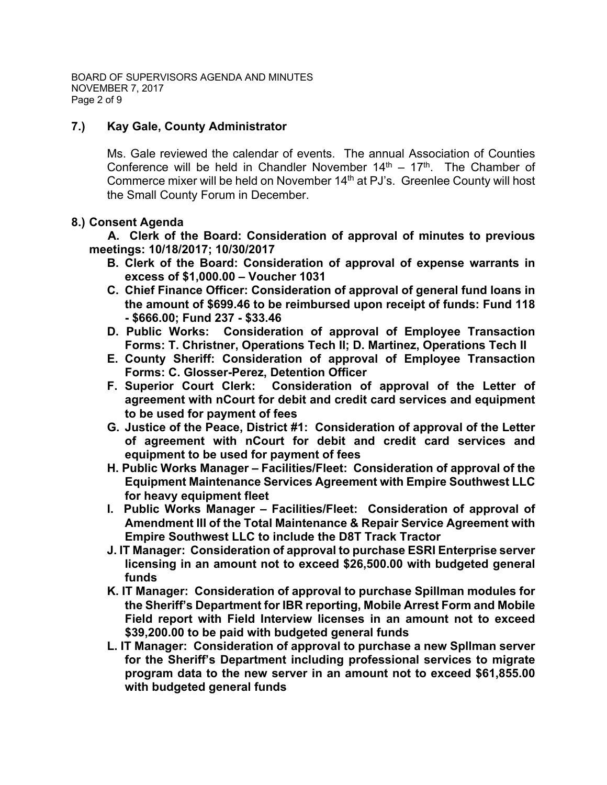BOARD OF SUPERVISORS AGENDA AND MINUTES NOVEMBER 7, 2017 Page 2 of 9

# **7.) Kay Gale, County Administrator**

Ms. Gale reviewed the calendar of events. The annual Association of Counties Conference will be held in Chandler November  $14<sup>th</sup> - 17<sup>th</sup>$ . The Chamber of Commerce mixer will be held on November 14<sup>th</sup> at PJ's. Greenlee County will host the Small County Forum in December.

# **8.) Consent Agenda**

 **A. Clerk of the Board: Consideration of approval of minutes to previous meetings: 10/18/2017; 10/30/2017**

- **B. Clerk of the Board: Consideration of approval of expense warrants in excess of \$1,000.00 – Voucher 1031**
- **C. Chief Finance Officer: Consideration of approval of general fund loans in the amount of \$699.46 to be reimbursed upon receipt of funds: Fund 118 - \$666.00; Fund 237 - \$33.46**
- **D. Public Works: Consideration of approval of Employee Transaction Forms: T. Christner, Operations Tech II; D. Martinez, Operations Tech II**
- **E. County Sheriff: Consideration of approval of Employee Transaction Forms: C. Glosser-Perez, Detention Officer**
- **F. Superior Court Clerk: Consideration of approval of the Letter of agreement with nCourt for debit and credit card services and equipment to be used for payment of fees**
- **G. Justice of the Peace, District #1: Consideration of approval of the Letter of agreement with nCourt for debit and credit card services and equipment to be used for payment of fees**
- **H. Public Works Manager – Facilities/Fleet: Consideration of approval of the Equipment Maintenance Services Agreement with Empire Southwest LLC for heavy equipment fleet**
- **I. Public Works Manager – Facilities/Fleet: Consideration of approval of Amendment III of the Total Maintenance & Repair Service Agreement with Empire Southwest LLC to include the D8T Track Tractor**
- **J. IT Manager: Consideration of approval to purchase ESRI Enterprise server licensing in an amount not to exceed \$26,500.00 with budgeted general funds**
- **K. IT Manager: Consideration of approval to purchase Spillman modules for the Sheriff's Department for IBR reporting, Mobile Arrest Form and Mobile Field report with Field Interview licenses in an amount not to exceed \$39,200.00 to be paid with budgeted general funds**
- **L. IT Manager: Consideration of approval to purchase a new Spllman server for the Sheriff's Department including professional services to migrate program data to the new server in an amount not to exceed \$61,855.00 with budgeted general funds**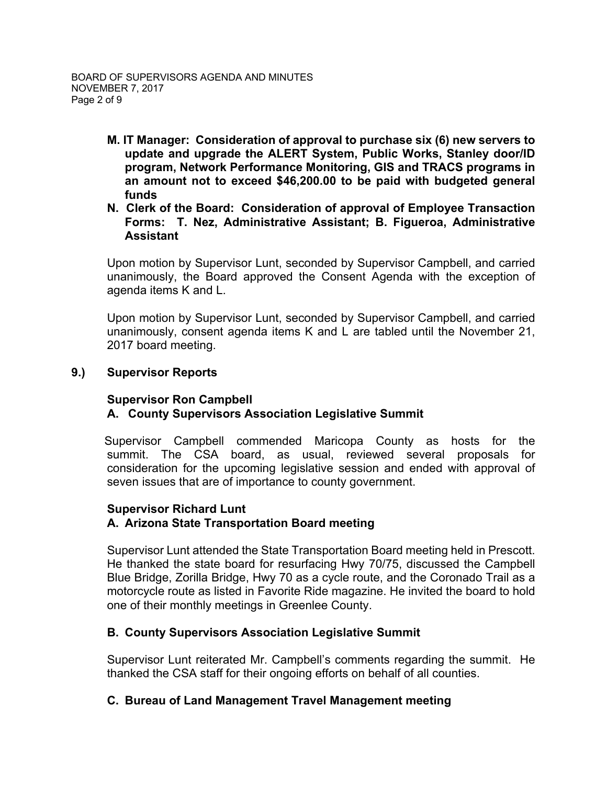- **M. IT Manager: Consideration of approval to purchase six (6) new servers to update and upgrade the ALERT System, Public Works, Stanley door/ID program, Network Performance Monitoring, GIS and TRACS programs in an amount not to exceed \$46,200.00 to be paid with budgeted general funds**
- **N. Clerk of the Board: Consideration of approval of Employee Transaction Forms: T. Nez, Administrative Assistant; B. Figueroa, Administrative Assistant**

Upon motion by Supervisor Lunt, seconded by Supervisor Campbell, and carried unanimously, the Board approved the Consent Agenda with the exception of agenda items K and L.

Upon motion by Supervisor Lunt, seconded by Supervisor Campbell, and carried unanimously, consent agenda items K and L are tabled until the November 21, 2017 board meeting.

### **9.) Supervisor Reports**

#### **Supervisor Ron Campbell**

# **A. County Supervisors Association Legislative Summit**

 Supervisor Campbell commended Maricopa County as hosts for the summit. The CSA board, as usual, reviewed several proposals for consideration for the upcoming legislative session and ended with approval of seven issues that are of importance to county government.

#### **Supervisor Richard Lunt A. Arizona State Transportation Board meeting**

Supervisor Lunt attended the State Transportation Board meeting held in Prescott. He thanked the state board for resurfacing Hwy 70/75, discussed the Campbell Blue Bridge, Zorilla Bridge, Hwy 70 as a cycle route, and the Coronado Trail as a motorcycle route as listed in Favorite Ride magazine. He invited the board to hold one of their monthly meetings in Greenlee County.

# **B. County Supervisors Association Legislative Summit**

Supervisor Lunt reiterated Mr. Campbell's comments regarding the summit. He thanked the CSA staff for their ongoing efforts on behalf of all counties.

# **C. Bureau of Land Management Travel Management meeting**